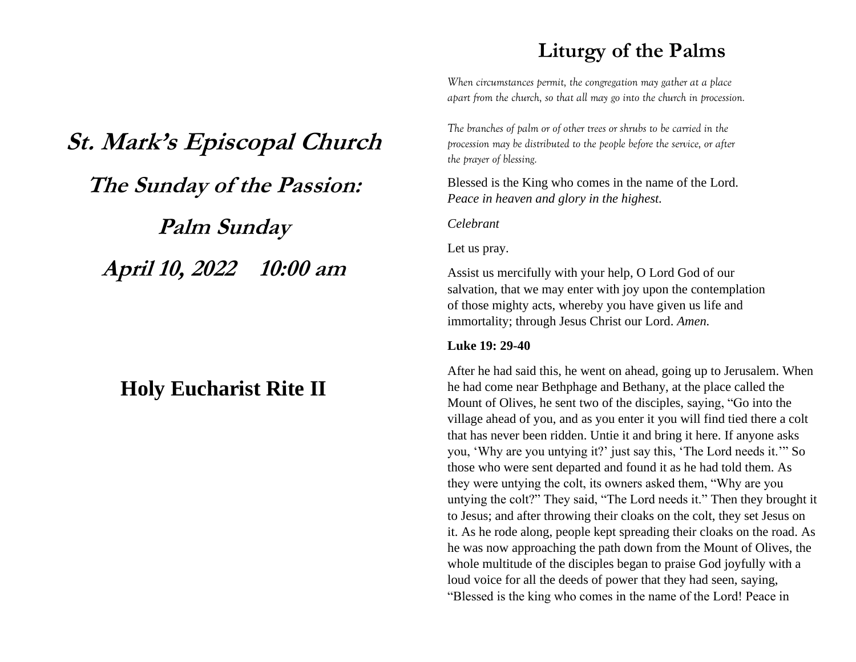# **St. Mark's Episcopal Church The Sunday of the Passion: Palm Sunday April 10, 2022 10:00 am**

# **Holy Eucharist Rite II**

# **Liturgy of the Palms**

*When circumstances permit, the congregation may gather at a place apart from the church, so that all may go into the church in procession.*

*The branches of palm or of other trees or shrubs to be carried in the procession may be distributed to the people before the service, or after the prayer of blessing.*

Blessed is the King who comes in the name of the Lord. *Peace in heaven and glory in the highest.*

*Celebrant* 

Let us pray.

Assist us mercifully with your help, O Lord God of our salvation, that we may enter with joy upon the contemplation of those mighty acts, whereby you have given us life and immortality; through Jesus Christ our Lord. *Amen.*

#### **Luke 19: 29-40**

After he had said this, he went on ahead, going up to Jerusalem. When he had come near Bethphage and Bethany, at the place called the Mount of Olives, he sent two of the disciples, saying, "Go into the village ahead of you, and as you enter it you will find tied there a colt that has never been ridden. Untie it and bring it here. If anyone asks you, 'Why are you untying it?' just say this, 'The Lord needs it.'" So those who were sent departed and found it as he had told them. As they were untying the colt, its owners asked them, "Why are you untying the colt?" They said, "The Lord needs it." Then they brought it to Jesus; and after throwing their cloaks on the colt, they set Jesus on it. As he rode along, people kept spreading their cloaks on the road. As he was now approaching the path down from the Mount of Olives, the whole multitude of the disciples began to praise God joyfully with a loud voice for all the deeds of power that they had seen, saying, "Blessed is the king who comes in the name of the Lord! Peace in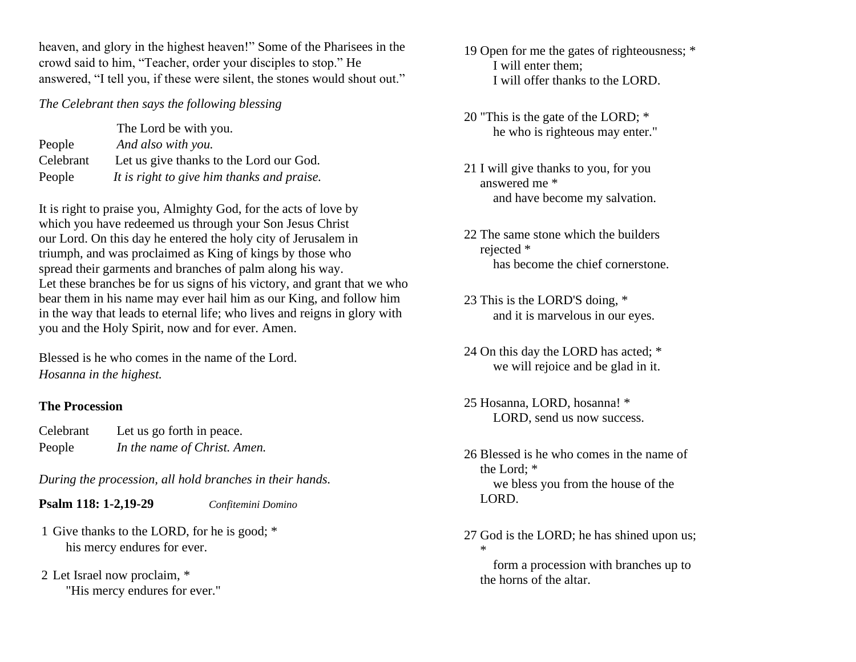heaven, and glory in the highest heaven!" Some of the Pharisees in the crowd said to him, "Teacher, order your disciples to stop." He answered, "I tell you, if these were silent, the stones would shout out."

*The Celebrant then says the following blessing*

|           | The Lord be with you.                      |
|-----------|--------------------------------------------|
| People    | And also with you.                         |
| Celebrant | Let us give thanks to the Lord our God.    |
| People    | It is right to give him thanks and praise. |

It is right to praise you, Almighty God, for the acts of love by which you have redeemed us through your Son Jesus Christ our Lord. On this day he entered the holy city of Jerusalem in triumph, and was proclaimed as King of kings by those who spread their garments and branches of palm along his way. Let these branches be for us signs of his victory, and grant that we who bear them in his name may ever hail him as our King, and follow him in the way that leads to eternal life; who lives and reigns in glory with you and the Holy Spirit, now and for ever. Amen.

Blessed is he who comes in the name of the Lord. *Hosanna in the highest.*

#### **The Procession**

| Celebrant | Let us go forth in peace.    |
|-----------|------------------------------|
| People    | In the name of Christ. Amen. |

*During the procession, all hold branches in their hands.*

#### **Psalm 118: 1-2,19-29** *Confitemini Domino*

- 1 Give thanks to the LORD, for he is good; \* his mercy endures for ever.
- 2 Let Israel now proclaim, \* "His mercy endures for ever."
- 19 Open for me the gates of righteousness; \* I will enter them; I will offer thanks to the LORD.
- 20 "This is the gate of the LORD; \* he who is righteous may enter."
- 21 I will give thanks to you, for you answered me \* and have become my salvation.
- 22 The same stone which the builders rejected \* has become the chief cornerstone.
- 23 This is the LORD'S doing, \* and it is marvelous in our eyes.
- 24 On this day the LORD has acted; \* we will rejoice and be glad in it.
- 25 Hosanna, LORD, hosanna! \* LORD, send us now success.
- 26 Blessed is he who comes in the name of the Lord; \* we bless you from the house of the LORD.
- 27 God is the LORD; he has shined upon us; \*

 form a procession with branches up to the horns of the altar.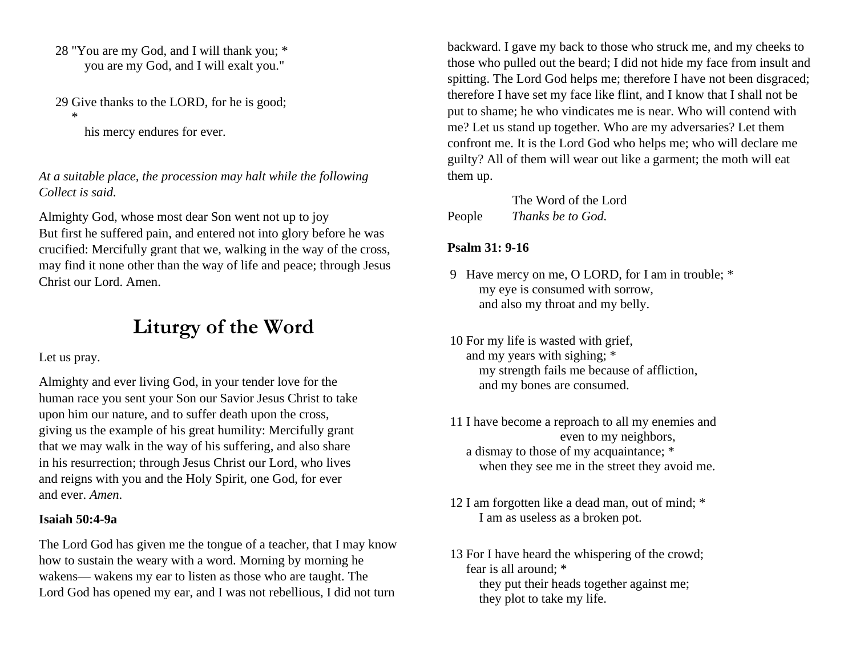- 28 "You are my God, and I will thank you; \* you are my God, and I will exalt you."
- 29 Give thanks to the LORD, for he is good; \*

his mercy endures for ever.

*At a suitable place, the procession may halt while the following Collect is said.*

Almighty God, whose most dear Son went not up to joy But first he suffered pain, and entered not into glory before he was crucified: Mercifully grant that we, walking in the way of the cross, may find it none other than the way of life and peace; through Jesus Christ our Lord. Amen.

# **Liturgy of the Word**

Let us pray.

Almighty and ever living God, in your tender love for the human race you sent your Son our Savior Jesus Christ to take upon him our nature, and to suffer death upon the cross, giving us the example of his great humility: Mercifully grant that we may walk in the way of his suffering, and also share in his resurrection; through Jesus Christ our Lord, who lives and reigns with you and the Holy Spirit, one God, for ever and ever. *Amen*.

#### **Isaiah 50:4-9a**

The Lord God has given me the tongue of a teacher, that I may know how to sustain the weary with a word. Morning by morning he wakens— wakens my ear to listen as those who are taught. The Lord God has opened my ear, and I was not rebellious, I did not turn

backward. I gave my back to those who struck me, and my cheeks to those who pulled out the beard; I did not hide my face from insult and spitting. The Lord God helps me; therefore I have not been disgraced; therefore I have set my face like flint, and I know that I shall not be put to shame; he who vindicates me is near. Who will contend with me? Let us stand up together. Who are my adversaries? Let them confront me. It is the Lord God who helps me; who will declare me guilty? All of them will wear out like a garment; the moth will eat them up.

 The Word of the Lord People *Thanks be to God.*

### **Psalm 31: 9-16**

9 Have mercy on me, O LORD, for I am in trouble; \* my eye is consumed with sorrow, and also my throat and my belly.

10 For my life is wasted with grief, and my years with sighing; \* my strength fails me because of affliction, and my bones are consumed.

- 11 I have become a reproach to all my enemies and even to my neighbors, a dismay to those of my acquaintance; \* when they see me in the street they avoid me.
- 12 I am forgotten like a dead man, out of mind; \* I am as useless as a broken pot.
- 13 For I have heard the whispering of the crowd; fear is all around; \* they put their heads together against me; they plot to take my life.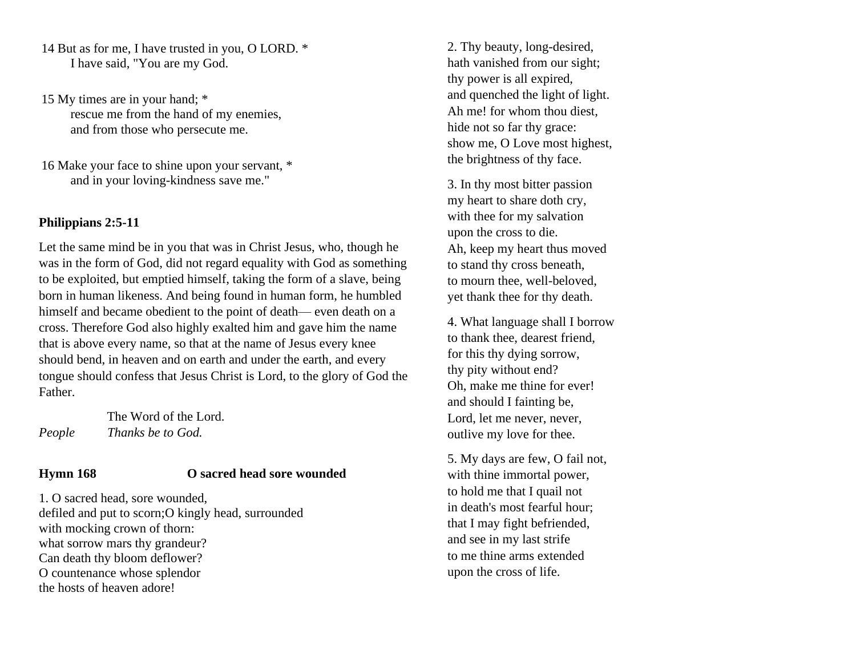14 But as for me, I have trusted in you, O LORD. \* I have said, "You are my God.

- 15 My times are in your hand; \* rescue me from the hand of my enemies, and from those who persecute me.
- 16 Make your face to shine upon your servant, \* and in your loving-kindness save me."

#### **Philippians 2:5-11**

Let the same mind be in you that was in Christ Jesus, who, though he was in the form of God, did not regard equality with God as something to be exploited, but emptied himself, taking the form of a slave, being born in human likeness. And being found in human form, he humbled himself and became obedient to the point of death— even death on a cross. Therefore God also highly exalted him and gave him the name that is above every name, so that at the name of Jesus every knee should bend, in heaven and on earth and under the earth, and every tongue should confess that Jesus Christ is Lord, to the glory of God the Father.

 The Word of the Lord. *People Thanks be to God.*

#### **Hymn 168 O** sacred head sore wounded

1. O sacred head, sore wounded, defiled and put to scorn;O kingly head, surrounded with mocking crown of thorn: what sorrow mars thy grandeur? Can death thy bloom deflower? O countenance whose splendor the hosts of heaven adore!

2. Thy beauty, long-desired, hath vanished from our sight; thy power is all expired, and quenched the light of light. Ah me! for whom thou diest, hide not so far thy grace: show me, O Love most highest, the brightness of thy face.

3. In thy most bitter passion my heart to share doth cry, with thee for my salvation upon the cross to die. Ah, keep my heart thus moved to stand thy cross beneath, to mourn thee, well-beloved, yet thank thee for thy death.

4. What language shall I borrow to thank thee, dearest friend, for this thy dying sorrow, thy pity without end? Oh, make me thine for ever! and should I fainting be, Lord, let me never, never, outlive my love for thee.

5. My days are few, O fail not, with thine immortal power, to hold me that I quail not in death's most fearful hour; that I may fight befriended, and see in my last strife to me thine arms extended upon the cross of life.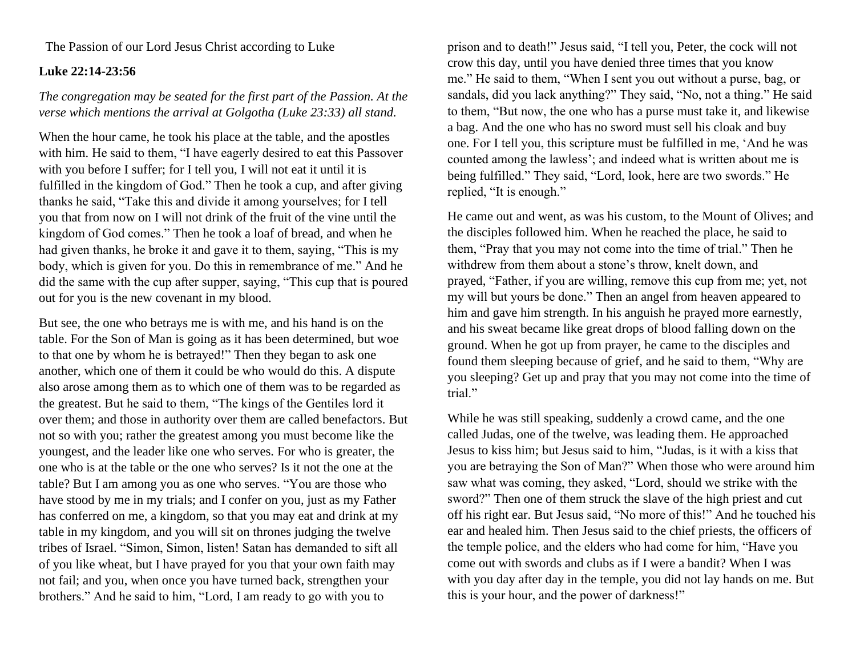The Passion of our Lord Jesus Christ according to Luke

#### **Luke 22:14-23:56**

#### *The congregation may be seated for the first part of the Passion. At the verse which mentions the arrival at Golgotha (Luke 23:33) all stand.*

When the hour came, he took his place at the table, and the apostles with him. He said to them, "I have eagerly desired to eat this Passover with you before I suffer; for I tell you, I will not eat it until it is fulfilled in the kingdom of God." Then he took a cup, and after giving thanks he said, "Take this and divide it among yourselves; for I tell you that from now on I will not drink of the fruit of the vine until the kingdom of God comes." Then he took a loaf of bread, and when he had given thanks, he broke it and gave it to them, saying, "This is my body, which is given for you. Do this in remembrance of me." And he did the same with the cup after supper, saying, "This cup that is poured out for you is the new covenant in my blood.

But see, the one who betrays me is with me, and his hand is on the table. For the Son of Man is going as it has been determined, but woe to that one by whom he is betrayed!" Then they began to ask one another, which one of them it could be who would do this. A dispute also arose among them as to which one of them was to be regarded as the greatest. But he said to them, "The kings of the Gentiles lord it over them; and those in authority over them are called benefactors. But not so with you; rather the greatest among you must become like the youngest, and the leader like one who serves. For who is greater, the one who is at the table or the one who serves? Is it not the one at the table? But I am among you as one who serves. "You are those who have stood by me in my trials; and I confer on you, just as my Father has conferred on me, a kingdom, so that you may eat and drink at my table in my kingdom, and you will sit on thrones judging the twelve tribes of Israel. "Simon, Simon, listen! Satan has demanded to sift all of you like wheat, but I have prayed for you that your own faith may not fail; and you, when once you have turned back, strengthen your brothers." And he said to him, "Lord, I am ready to go with you to

prison and to death!" Jesus said, "I tell you, Peter, the cock will not crow this day, until you have denied three times that you know me." He said to them, "When I sent you out without a purse, bag, or sandals, did you lack anything?" They said, "No, not a thing." He said to them, "But now, the one who has a purse must take it, and likewise a bag. And the one who has no sword must sell his cloak and buy one. For I tell you, this scripture must be fulfilled in me, 'And he was counted among the lawless'; and indeed what is written about me is being fulfilled." They said, "Lord, look, here are two swords." He replied, "It is enough."

He came out and went, as was his custom, to the Mount of Olives; and the disciples followed him. When he reached the place, he said to them, "Pray that you may not come into the time of trial." Then he withdrew from them about a stone's throw, knelt down, and prayed, "Father, if you are willing, remove this cup from me; yet, not my will but yours be done." Then an angel from heaven appeared to him and gave him strength. In his anguish he prayed more earnestly, and his sweat became like great drops of blood falling down on the ground. When he got up from prayer, he came to the disciples and found them sleeping because of grief, and he said to them, "Why are you sleeping? Get up and pray that you may not come into the time of trial."

While he was still speaking, suddenly a crowd came, and the one called Judas, one of the twelve, was leading them. He approached Jesus to kiss him; but Jesus said to him, "Judas, is it with a kiss that you are betraying the Son of Man?" When those who were around him saw what was coming, they asked, "Lord, should we strike with the sword?" Then one of them struck the slave of the high priest and cut off his right ear. But Jesus said, "No more of this!" And he touched his ear and healed him. Then Jesus said to the chief priests, the officers of the temple police, and the elders who had come for him, "Have you come out with swords and clubs as if I were a bandit? When I was with you day after day in the temple, you did not lay hands on me. But this is your hour, and the power of darkness!"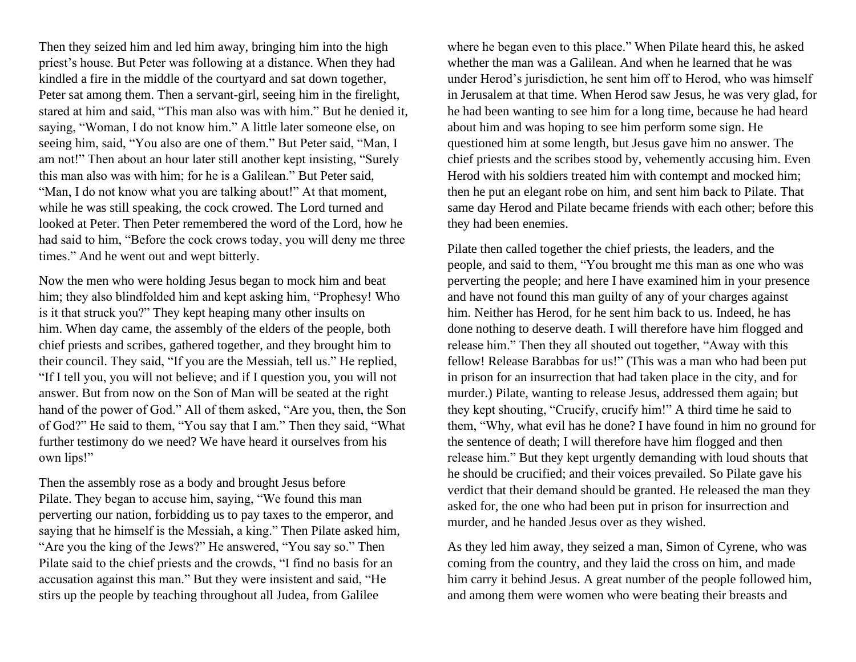Then they seized him and led him away, bringing him into the high priest's house. But Peter was following at a distance. When they had kindled a fire in the middle of the courtyard and sat down together, Peter sat among them. Then a servant-girl, seeing him in the firelight, stared at him and said, "This man also was with him." But he denied it, saying, "Woman, I do not know him." A little later someone else, on seeing him, said, "You also are one of them." But Peter said, "Man, I am not!" Then about an hour later still another kept insisting, "Surely this man also was with him; for he is a Galilean." But Peter said, "Man, I do not know what you are talking about!" At that moment, while he was still speaking, the cock crowed. The Lord turned and looked at Peter. Then Peter remembered the word of the Lord, how he had said to him, "Before the cock crows today, you will deny me three times." And he went out and wept bitterly.

Now the men who were holding Jesus began to mock him and beat him; they also blindfolded him and kept asking him, "Prophesy! Who is it that struck you?" They kept heaping many other insults on him. When day came, the assembly of the elders of the people, both chief priests and scribes, gathered together, and they brought him to their council. They said, "If you are the Messiah, tell us." He replied, "If I tell you, you will not believe; and if I question you, you will not answer. But from now on the Son of Man will be seated at the right hand of the power of God." All of them asked, "Are you, then, the Son of God?" He said to them, "You say that I am." Then they said, "What further testimony do we need? We have heard it ourselves from his own lips!"

Then the assembly rose as a body and brought Jesus before Pilate. They began to accuse him, saying, "We found this man perverting our nation, forbidding us to pay taxes to the emperor, and saying that he himself is the Messiah, a king." Then Pilate asked him, "Are you the king of the Jews?" He answered, "You say so." Then Pilate said to the chief priests and the crowds, "I find no basis for an accusation against this man." But they were insistent and said, "He stirs up the people by teaching throughout all Judea, from Galilee

where he began even to this place." When Pilate heard this, he asked whether the man was a Galilean. And when he learned that he was under Herod's jurisdiction, he sent him off to Herod, who was himself in Jerusalem at that time. When Herod saw Jesus, he was very glad, for he had been wanting to see him for a long time, because he had heard about him and was hoping to see him perform some sign. He questioned him at some length, but Jesus gave him no answer. The chief priests and the scribes stood by, vehemently accusing him. Even Herod with his soldiers treated him with contempt and mocked him; then he put an elegant robe on him, and sent him back to Pilate. That same day Herod and Pilate became friends with each other; before this they had been enemies.

Pilate then called together the chief priests, the leaders, and the people, and said to them, "You brought me this man as one who was perverting the people; and here I have examined him in your presence and have not found this man guilty of any of your charges against him. Neither has Herod, for he sent him back to us. Indeed, he has done nothing to deserve death. I will therefore have him flogged and release him." Then they all shouted out together, "Away with this fellow! Release Barabbas for us!" (This was a man who had been put in prison for an insurrection that had taken place in the city, and for murder.) Pilate, wanting to release Jesus, addressed them again; but they kept shouting, "Crucify, crucify him!" A third time he said to them, "Why, what evil has he done? I have found in him no ground for the sentence of death; I will therefore have him flogged and then release him." But they kept urgently demanding with loud shouts that he should be crucified; and their voices prevailed. So Pilate gave his verdict that their demand should be granted. He released the man they asked for, the one who had been put in prison for insurrection and murder, and he handed Jesus over as they wished.

As they led him away, they seized a man, Simon of Cyrene, who was coming from the country, and they laid the cross on him, and made him carry it behind Jesus. A great number of the people followed him, and among them were women who were beating their breasts and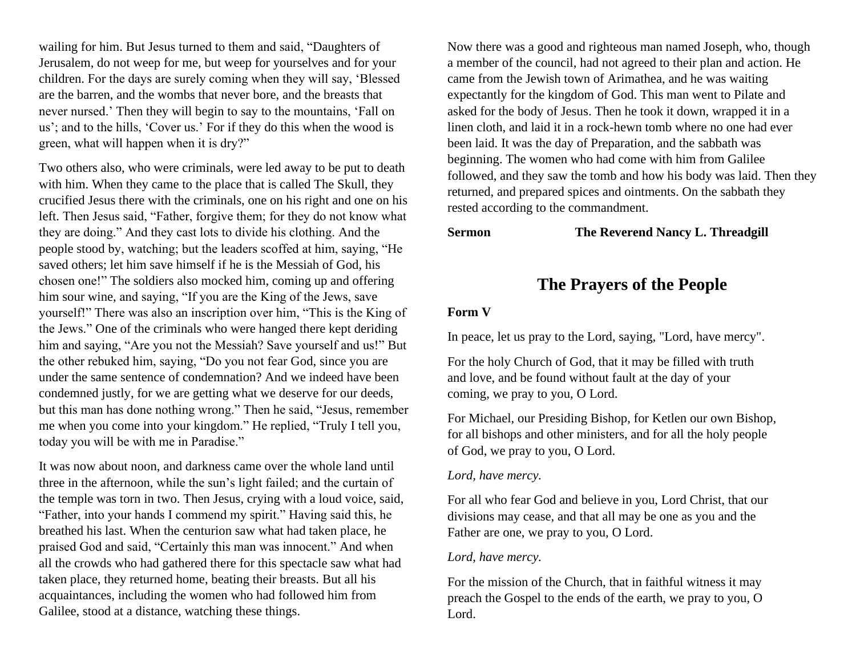wailing for him. But Jesus turned to them and said, "Daughters of Jerusalem, do not weep for me, but weep for yourselves and for your children. For the days are surely coming when they will say, 'Blessed are the barren, and the wombs that never bore, and the breasts that never nursed.' Then they will begin to say to the mountains, 'Fall on us'; and to the hills, 'Cover us.' For if they do this when the wood is green, what will happen when it is dry?"

Two others also, who were criminals, were led away to be put to death with him. When they came to the place that is called The Skull, they crucified Jesus there with the criminals, one on his right and one on his left. Then Jesus said, "Father, forgive them; for they do not know what they are doing." And they cast lots to divide his clothing. And the people stood by, watching; but the leaders scoffed at him, saying, "He saved others; let him save himself if he is the Messiah of God, his chosen one!" The soldiers also mocked him, coming up and offering him sour wine, and saying, "If you are the King of the Jews, save yourself!" There was also an inscription over him, "This is the King of the Jews." One of the criminals who were hanged there kept deriding him and saying, "Are you not the Messiah? Save yourself and us!" But the other rebuked him, saying, "Do you not fear God, since you are under the same sentence of condemnation? And we indeed have been condemned justly, for we are getting what we deserve for our deeds, but this man has done nothing wrong." Then he said, "Jesus, remember me when you come into your kingdom." He replied, "Truly I tell you, today you will be with me in Paradise."

It was now about noon, and darkness came over the whole land until three in the afternoon, while the sun's light failed; and the curtain of the temple was torn in two. Then Jesus, crying with a loud voice, said, "Father, into your hands I commend my spirit." Having said this, he breathed his last. When the centurion saw what had taken place, he praised God and said, "Certainly this man was innocent." And when all the crowds who had gathered there for this spectacle saw what had taken place, they returned home, beating their breasts. But all his acquaintances, including the women who had followed him from Galilee, stood at a distance, watching these things.

Now there was a good and righteous man named Joseph, who, though a member of the council, had not agreed to their plan and action. He came from the Jewish town of Arimathea, and he was waiting expectantly for the kingdom of God. This man went to Pilate and asked for the body of Jesus. Then he took it down, wrapped it in a linen cloth, and laid it in a rock-hewn tomb where no one had ever been laid. It was the day of Preparation, and the sabbath was beginning. The women who had come with him from Galilee followed, and they saw the tomb and how his body was laid. Then they returned, and prepared spices and ointments. On the sabbath they rested according to the commandment.

#### **Sermon The Reverend Nancy L. Threadgill**

## **The Prayers of the People**

#### **Form V**

In peace, let us pray to the Lord, saying, "Lord, have mercy".

For the holy Church of God, that it may be filled with truth and love, and be found without fault at the day of your coming, we pray to you, O Lord.

For Michael, our Presiding Bishop, for Ketlen our own Bishop, for all bishops and other ministers, and for all the holy people of God, we pray to you, O Lord.

#### *Lord, have mercy.*

For all who fear God and believe in you, Lord Christ, that our divisions may cease, and that all may be one as you and the Father are one, we pray to you, O Lord.

#### *Lord, have mercy.*

For the mission of the Church, that in faithful witness it may preach the Gospel to the ends of the earth, we pray to you, O Lord.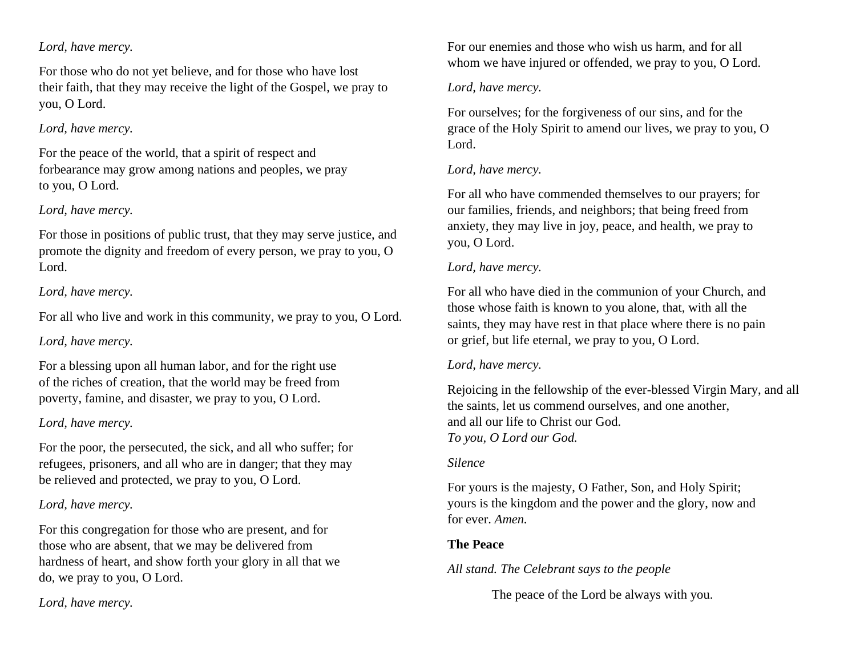#### *Lord, have mercy.*

For those who do not yet believe, and for those who have lost their faith, that they may receive the light of the Gospel, we pray to you, O Lord.

#### *Lord, have mercy.*

For the peace of the world, that a spirit of respect and forbearance may grow among nations and peoples, we pray to you, O Lord.

#### *Lord, have mercy.*

For those in positions of public trust, that they may serve justice, and promote the dignity and freedom of every person, we pray to you, O Lord.

#### *Lord, have mercy.*

For all who live and work in this community, we pray to you, O Lord.

### *Lord, have mercy.*

For a blessing upon all human labor, and for the right use of the riches of creation, that the world may be freed from poverty, famine, and disaster, we pray to you, O Lord.

### *Lord, have mercy.*

For the poor, the persecuted, the sick, and all who suffer; for refugees, prisoners, and all who are in danger; that they may be relieved and protected, we pray to you, O Lord.

### *Lord, have mercy.*

For this congregation for those who are present, and for those who are absent, that we may be delivered from hardness of heart, and show forth your glory in all that we do, we pray to you, O Lord.

### *Lord, have mercy.*

For our enemies and those who wish us harm, and for all whom we have injured or offended, we pray to you, O Lord.

#### *Lord, have mercy.*

For ourselves; for the forgiveness of our sins, and for the grace of the Holy Spirit to amend our lives, we pray to you, O Lord.

#### *Lord, have mercy.*

For all who have commended themselves to our prayers; for our families, friends, and neighbors; that being freed from anxiety, they may live in joy, peace, and health, we pray to you, O Lord.

### *Lord, have mercy.*

For all who have died in the communion of your Church, and those whose faith is known to you alone, that, with all the saints, they may have rest in that place where there is no pain or grief, but life eternal, we pray to you, O Lord.

### *Lord, have mercy.*

Rejoicing in the fellowship of the ever-blessed Virgin Mary, and all the saints, let us commend ourselves, and one another, and all our life to Christ our God. *To you, O Lord our God.*

#### *Silence*

For yours is the majesty, O Father, Son, and Holy Spirit; yours is the kingdom and the power and the glory, now and for ever. *Amen.*

### **The Peace**

### *All stand. The Celebrant says to the people*

The peace of the Lord be always with you.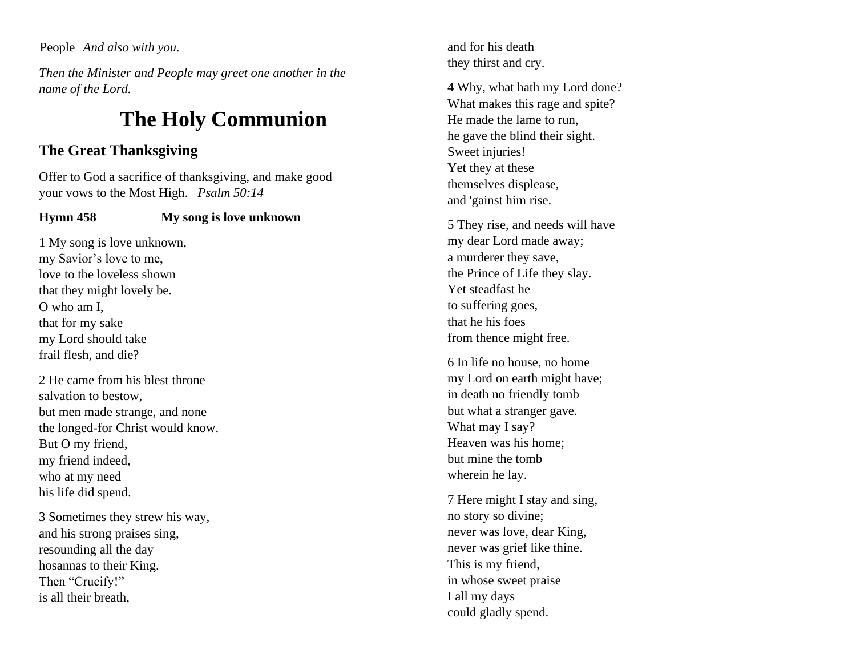People *And also with you.*

*Then the Minister and People may greet one another in the name of the Lord.*

# **The Holy Communion**

### **The Great Thanksgiving**

Offer to God a sacrifice of thanksgiving, and make good your vows to the Most High. *Psalm 50:14*

**Hymn 458 My song is love unknown**

1 My song is love unknown, my Savior's love to me, love to the loveless shown that they might lovely be. O who am I, that for my sake my Lord should take frail flesh, and die?

2 He came from his blest throne salvation to bestow, but men made strange, and none the longed-for Christ would know. But O my friend, my friend indeed, who at my need his life did spend.

3 Sometimes they strew his way, and his strong praises sing, resounding all the day hosannas to their King. Then "Crucify!" is all their breath,

and for his death they thirst and cry.

4 Why, what hath my Lord done? What makes this rage and spite? He made the lame to run, he gave the blind their sight. Sweet injuries! Yet they at these themselves displease, and 'gainst him rise.

5 They rise, and needs will have my dear Lord made away; a murderer they save, the Prince of Life they slay. Yet steadfast he to suffering goes, that he his foes from thence might free.

6 In life no house, no home my Lord on earth might have; in death no friendly tomb but what a stranger gave. What may I say? Heaven was his home; but mine the tomb wherein he lay.

7 Here might I stay and sing, no story so divine; never was love, dear King, never was grief like thine. This is my friend, in whose sweet praise I all my days could gladly spend.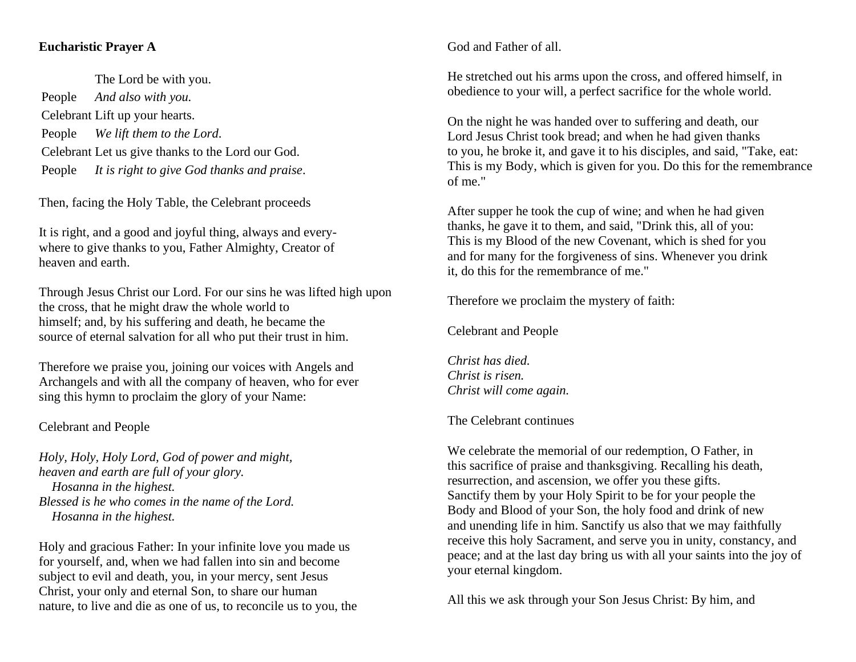#### **Eucharistic Prayer A**

The Lord be with you. People *And also with you.* Celebrant Lift up your hearts. People *We lift them to the Lord*. Celebrant Let us give thanks to the Lord our God. People *It is right to give God thanks and praise*.

Then, facing the Holy Table, the Celebrant proceeds

It is right, and a good and joyful thing, always and everywhere to give thanks to you, Father Almighty, Creator of heaven and earth.

Through Jesus Christ our Lord. For our sins he was lifted high upon the cross, that he might draw the whole world to himself; and, by his suffering and death, he became the source of eternal salvation for all who put their trust in him.

Therefore we praise you, joining our voices with Angels and Archangels and with all the company of heaven, who for ever sing this hymn to proclaim the glory of your Name:

#### Celebrant and People

*Holy, Holy, Holy Lord, God of power and might, heaven and earth are full of your glory. Hosanna in the highest. Blessed is he who comes in the name of the Lord. Hosanna in the highest.*

Holy and gracious Father: In your infinite love you made us for yourself, and, when we had fallen into sin and become subject to evil and death, you, in your mercy, sent Jesus Christ, your only and eternal Son, to share our human nature, to live and die as one of us, to reconcile us to you, the God and Father of all.

He stretched out his arms upon the cross, and offered himself, in obedience to your will, a perfect sacrifice for the whole world.

On the night he was handed over to suffering and death, our Lord Jesus Christ took bread; and when he had given thanks to you, he broke it, and gave it to his disciples, and said, "Take, eat: This is my Body, which is given for you. Do this for the remembrance of me."

After supper he took the cup of wine; and when he had given thanks, he gave it to them, and said, "Drink this, all of you: This is my Blood of the new Covenant, which is shed for you and for many for the forgiveness of sins. Whenever you drink it, do this for the remembrance of me."

Therefore we proclaim the mystery of faith:

Celebrant and People

*Christ has died. Christ is risen. Christ will come again.*

#### The Celebrant continues

We celebrate the memorial of our redemption, O Father, in this sacrifice of praise and thanksgiving. Recalling his death, resurrection, and ascension, we offer you these gifts. Sanctify them by your Holy Spirit to be for your people the Body and Blood of your Son, the holy food and drink of new and unending life in him. Sanctify us also that we may faithfully receive this holy Sacrament, and serve you in unity, constancy, and peace; and at the last day bring us with all your saints into the joy of your eternal kingdom.

All this we ask through your Son Jesus Christ: By him, and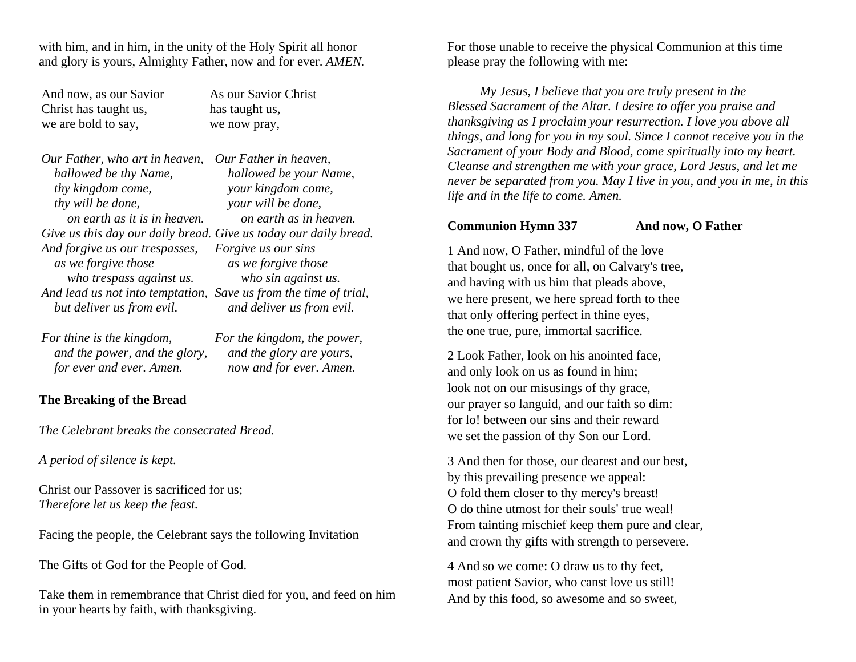with him, and in him, in the unity of the Holy Spirit all honor and glory is yours, Almighty Father, now and for ever. *AMEN.*

And now, as our Savior Christ has taught us, we are bold to say,

*Our Father, who art in heaven, hallowed be thy Name, thy kingdom come, thy will be done, on earth as it is in heaven. Give us this day our daily bread. Give us today our daily bread. And forgive us our trespasses, as we forgive those who trespass against us. And lead us not into temptation, Save us from the time of trial, but deliver us from evil.*

*For thine is the kingdom, and the power, and the glory, for ever and ever. Amen.*

*Our Father in heaven, hallowed be your Name, your kingdom come, your will be done, on earth as in heaven. Forgive us our sins*

As our Savior Christ

 has taught us, we now pray,

 *as we forgive those who sin against us. and deliver us from evil.*

*For the kingdom, the power, and the glory are yours, now and for ever. Amen.*

#### **The Breaking of the Bread**

*The Celebrant breaks the consecrated Bread.*

*A period of silence is kept.*

Christ our Passover is sacrificed for us; *Therefore let us keep the feast.*

Facing the people, the Celebrant says the following Invitation

The Gifts of God for the People of God.

Take them in remembrance that Christ died for you, and feed on him in your hearts by faith, with thanksgiving.

For those unable to receive the physical Communion at this time please pray the following with me:

 *My Jesus, I believe that you are truly present in the Blessed Sacrament of the Altar. I desire to offer you praise and thanksgiving as I proclaim your resurrection. I love you above all things, and long for you in my soul. Since I cannot receive you in the Sacrament of your Body and Blood, come spiritually into my heart. Cleanse and strengthen me with your grace, Lord Jesus, and let me never be separated from you. May I live in you, and you in me, in this life and in the life to come. Amen.*

#### **Communion Hymn 337 And now, O Father**

1 And now, O Father, mindful of the love that bought us, once for all, on Calvary's tree, and having with us him that pleads above, we here present, we here spread forth to thee that only offering perfect in thine eyes, the one true, pure, immortal sacrifice.

2 Look Father, look on his anointed face, and only look on us as found in him; look not on our misusings of thy grace, our prayer so languid, and our faith so dim: for lo! between our sins and their reward we set the passion of thy Son our Lord.

3 And then for those, our dearest and our best, by this prevailing presence we appeal: O fold them closer to thy mercy's breast! O do thine utmost for their souls' true weal! From tainting mischief keep them pure and clear, and crown thy gifts with strength to persevere.

4 And so we come: O draw us to thy feet, most patient Savior, who canst love us still! And by this food, so awesome and so sweet,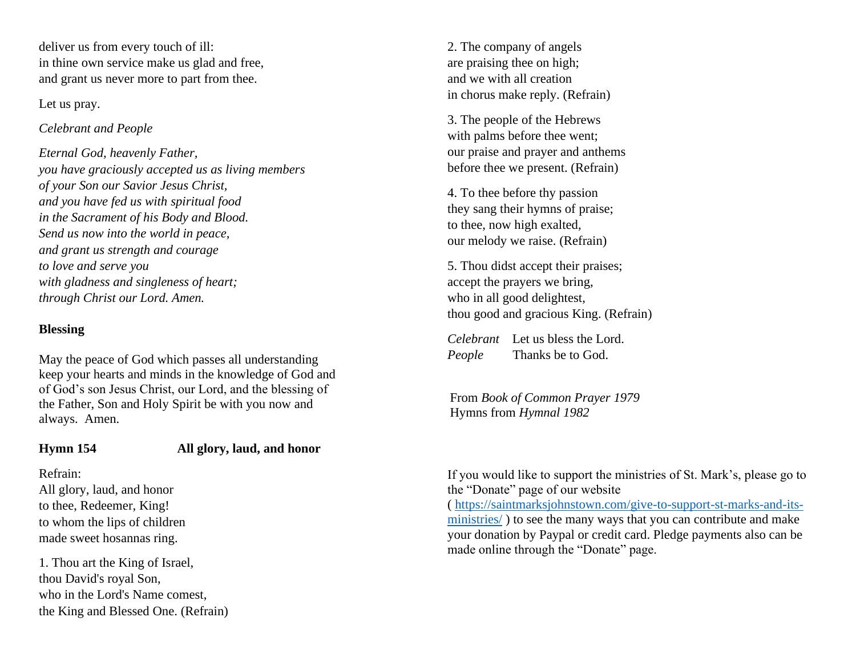deliver us from every touch of ill: in thine own service make us glad and free, and grant us never more to part from thee.

Let us pray.

#### *Celebrant and People*

*Eternal God, heavenly Father, you have graciously accepted us as living members of your Son our Savior Jesus Christ, and you have fed us with spiritual food in the Sacrament of his Body and Blood. Send us now into the world in peace, and grant us strength and courage to love and serve you with gladness and singleness of heart; through Christ our Lord. Amen.*

#### **Blessing**

May the peace of God which passes all understanding keep your hearts and minds in the knowledge of God and of God's son Jesus Christ, our Lord, and the blessing of the Father, Son and Holy Spirit be with you now and always. Amen.

#### **Hymn 154 All glory, laud, and honor**

Refrain:

All glory, laud, and honor to thee, Redeemer, King! to whom the lips of children made sweet hosannas ring.

1. Thou art the King of Israel, thou David's royal Son, who in the Lord's Name comest, the King and Blessed One. (Refrain)

2. The company of angels are praising thee on high; and we with all creation in chorus make reply. (Refrain)

3. The people of the Hebrews with palms before thee went; our praise and prayer and anthems before thee we present. (Refrain)

4. To thee before thy passion they sang their hymns of praise; to thee, now high exalted, our melody we raise. (Refrain)

5. Thou didst accept their praises; accept the prayers we bring, who in all good delightest, thou good and gracious King. (Refrain)

*Celebrant* Let us bless the Lord. *People* Thanks be to God.

From *Book of Common Prayer 1979* Hymns from *Hymnal 1982* 

If you would like to support the ministries of St. Mark's, please go to the "Donate" page of our website ( [https://saintmarksjohnstown.com/give-to-support-st-marks-and-its](https://saintmarksjohnstown.com/give-to-support-st-marks-and-its-ministries/)[ministries/](https://saintmarksjohnstown.com/give-to-support-st-marks-and-its-ministries/) ) to see the many ways that you can contribute and make your donation by Paypal or credit card. Pledge payments also can be made online through the "Donate" page.